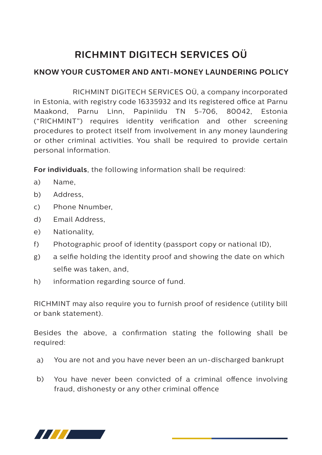## **RICHMINT DIGITECH SERVICES OÜ**

## **KNOW YOUR CUSTOMER AND ANTI-MONEY LAUNDERING POLICY**

 RICHMINT DIGITECH SERVICES OÜ, a company incorporated in Estonia, with registry code 16335932 and its registered office at Parnu Maakond, Parnu Linn, Papiniidu TN 5-706, 80042, Estonia ("RICHMINT") requires identity verification and other screening procedures to protect itself from involvement in any money laundering or other criminal activities. You shall be required to provide certain personal information.

**For individuals**, the following information shall be required:

- a) Name,
- b) Address,
- c) Phone Nnumber,
- d) Email Address,
- e) Nationality,
- f) Photographic proof of identity (passport copy or national ID),
- g) a selfie holding the identity proof and showing the date on which selfie was taken, and,
- h) information regarding source of fund.

RICHMINT may also require you to furnish proof of residence (utility bill or bank statement).

Besides the above, a confirmation stating the following shall be required:

- You are not and you have never been an un-discharged bankrupt a)
- You have never been convicted of a criminal offence involving fraud, dishonesty or any other criminal offence b)

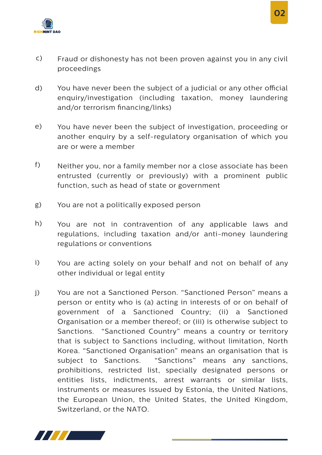

- Fraud or dishonesty has not been proven against you in any civil proceedings c)
- You have never been the subject of a judicial or any other official enquiry/investigation (including taxation, money laundering and/or terrorism financing/links) d)
- You have never been the subject of investigation, proceeding or another enquiry by a self-regulatory organisation of which you are or were a member e)
- Neither you, nor a family member nor a close associate has been entrusted (currently or previously) with a prominent public function, such as head of state or government f)
- You are not a politically exposed person g)
- You are not in contravention of any applicable laws and regulations, including taxation and/or anti-money laundering regulations or conventions h)
- You are acting solely on your behalf and not on behalf of any other individual or legal entity i)
- You are not a Sanctioned Person. "Sanctioned Person" means a person or entity who is (a) acting in interests of or on behalf of government of a Sanctioned Country; (ii) a Sanctioned Organisation or a member thereof; or (iii) is otherwise subject to Sanctions. "Sanctioned Country" means a country or territory that is subject to Sanctions including, without limitation, North Korea. "Sanctioned Organisation" means an organisation that is subject to Sanctions. "Sanctions" means any sanctions, prohibitions, restricted list, specially designated persons or entities lists, indictments, arrest warrants or similar lists, instruments or measures issued by Estonia, the United Nations, the European Union, the United States, the United Kingdom, Switzerland, or the NATO. j)



 **02**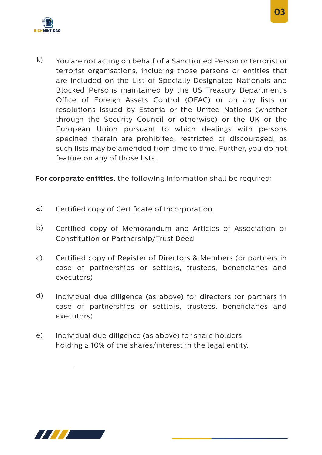

k) You are not acting on behalf of a Sanctioned Person or terrorist or terrorist organisations, including those persons or entities that are included on the List of Specially Designated Nationals and Blocked Persons maintained by the US Treasury Department's Office of Foreign Assets Control (OFAC) or on any lists or resolutions issued by Estonia or the United Nations (whether through the Security Council or otherwise) or the UK or the European Union pursuant to which dealings with persons specified therein are prohibited, restricted or discouraged, as such lists may be amended from time to time. Further, you do not feature on any of those lists.

**For corporate entities**, the following information shall be required:

- a) Certified copy of Certificate of Incorporation
- b) Certified copy of Memorandum and Articles of Association or Constitution or Partnership/Trust Deed
- c) Certified copy of Register of Directors & Members (or partners in case of partnerships or settlors, trustees, beneficiaries and executors)
- d) Individual due diligence (as above) for directors (or partners in case of partnerships or settlors, trustees, beneficiaries and executors)
- e) Individual due diligence (as above) for share holders holding  $\geq 10\%$  of the shares/interest in the legal entity.



.

 **03**